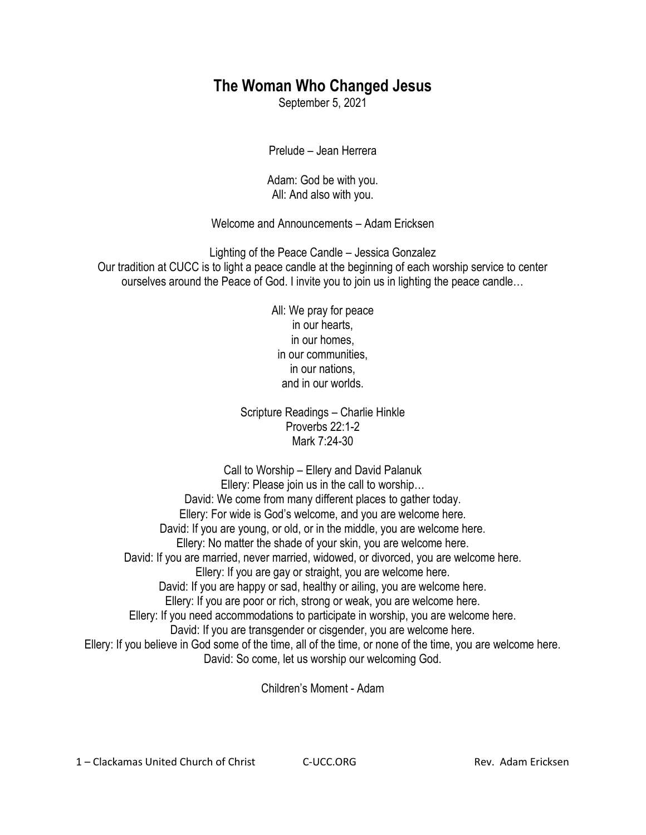## **The Woman Who Changed Jesus**

September 5, 2021

Prelude – Jean Herrera

Adam: God be with you. All: And also with you.

Welcome and Announcements – Adam Ericksen

Lighting of the Peace Candle – Jessica Gonzalez Our tradition at CUCC is to light a peace candle at the beginning of each worship service to center ourselves around the Peace of God. I invite you to join us in lighting the peace candle…

> All: We pray for peace in our hearts, in our homes, in our communities, in our nations, and in our worlds.

Scripture Readings – Charlie Hinkle Proverbs 22:1-2 Mark 7:24-30

Call to Worship – Ellery and David Palanuk Ellery: Please join us in the call to worship… David: We come from many different places to gather today. Ellery: For wide is God's welcome, and you are welcome here. David: If you are young, or old, or in the middle, you are welcome here. Ellery: No matter the shade of your skin, you are welcome here. David: If you are married, never married, widowed, or divorced, you are welcome here. Ellery: If you are gay or straight, you are welcome here. David: If you are happy or sad, healthy or ailing, you are welcome here. Ellery: If you are poor or rich, strong or weak, you are welcome here. Ellery: If you need accommodations to participate in worship, you are welcome here. David: If you are transgender or cisgender, you are welcome here. Ellery: If you believe in God some of the time, all of the time, or none of the time, you are welcome here. David: So come, let us worship our welcoming God.

Children's Moment - Adam